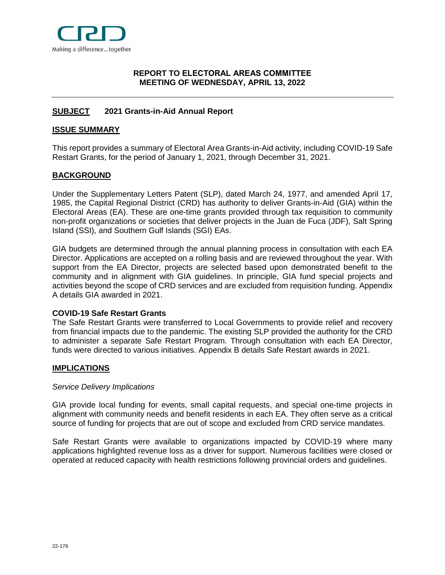

## <span id="page-0-0"></span>**[REPORT](#page-0-0) TO ELECTORAL AREAS COMMITTEE MEETING OF WEDNESDAY, APRIL 13, 2022**

# <span id="page-0-1"></span>**[SUBJECT](#page-0-1) 2021 Grants-in-Aid Annual Report**

#### <span id="page-0-2"></span>**[ISSUE SUMMARY](#page-0-2)**

This report provides a summary of Electoral Area Grants-in-Aid activity, including COVID-19 Safe Restart Grants, for the period of January 1, 2021, through December 31, 2021.

### <span id="page-0-3"></span>**[BACKGROUND](#page-0-3)**

Under the Supplementary Letters Patent (SLP), dated March 24, 1977, and amended April 17, 1985, the Capital Regional District (CRD) has authority to deliver Grants-in-Aid (GIA) within the Electoral Areas (EA). These are one-time grants provided through tax requisition to community non-profit organizations or societies that deliver projects in the Juan de Fuca (JDF), Salt Spring Island (SSI), and Southern Gulf Islands (SGI) EAs.

GIA budgets are determined through the annual planning process in consultation with each EA Director. Applications are accepted on a rolling basis and are reviewed throughout the year. With support from the EA Director, projects are selected based upon demonstrated benefit to the community and in alignment with GIA guidelines. In principle, GIA fund special projects and activities beyond the scope of CRD services and are excluded from requisition funding. Appendix A details GIA awarded in 2021.

#### **COVID-19 Safe Restart Grants**

The Safe Restart Grants were transferred to Local Governments to provide relief and recovery from financial impacts due to the pandemic. The existing SLP provided the authority for the CRD to administer a separate Safe Restart Program. Through consultation with each EA Director, funds were directed to various initiatives. Appendix B details Safe Restart awards in 2021.

### <span id="page-0-4"></span>**[IMPLICATIONS](#page-0-4)**

#### *Service Delivery Implications*

GIA provide local funding for events, small capital requests, and special one-time projects in alignment with community needs and benefit residents in each EA. They often serve as a critical source of funding for projects that are out of scope and excluded from CRD service mandates.

Safe Restart Grants were available to organizations impacted by COVID-19 where many applications highlighted revenue loss as a driver for support. Numerous facilities were closed or operated at reduced capacity with health restrictions following provincial orders and guidelines.